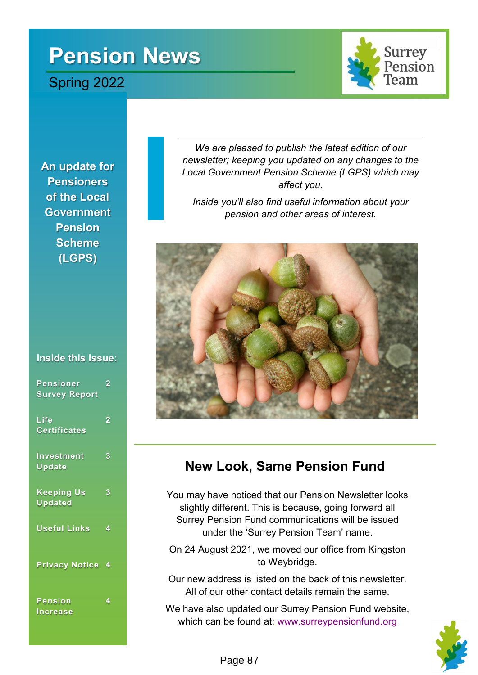# **Pension News**

## Spring 2022



**An update for Pensioners of the Local Government Pension Scheme (LGPS)**

### **Inside this issue:**

| <b>Pensioner</b><br><b>Survey Report</b> | 2 |
|------------------------------------------|---|
| Life<br><b>Certificates</b>              | 2 |
| Investment<br>Update                     | 3 |
| <b>Keeping Us</b><br><b>Updated</b>      | 3 |
| <b>Useful Links</b>                      | 4 |
| <b>Privacy Notice</b>                    | 4 |
| Pension<br><b>Increase</b>               | 4 |

*We are pleased to publish the latest edition of our newsletter; keeping you updated on any changes to the Local Government Pension Scheme (LGPS) which may affect you.* 

*Inside you'll also find useful information about your pension and other areas of interest.* 



## **New Look, Same Pension Fund**

You may have noticed that our Pension Newsletter looks slightly different. This is because, going forward all Surrey Pension Fund communications will be issued under the 'Surrey Pension Team' name.

On 24 August 2021, we moved our office from Kingston to Weybridge.

Our new address is listed on the back of this newsletter. All of our other contact details remain the same.

We have also updated our Surrey Pension Fund website, which can be found at: [www.surreypensionfund.org](https://www.surreypensionfund.org)

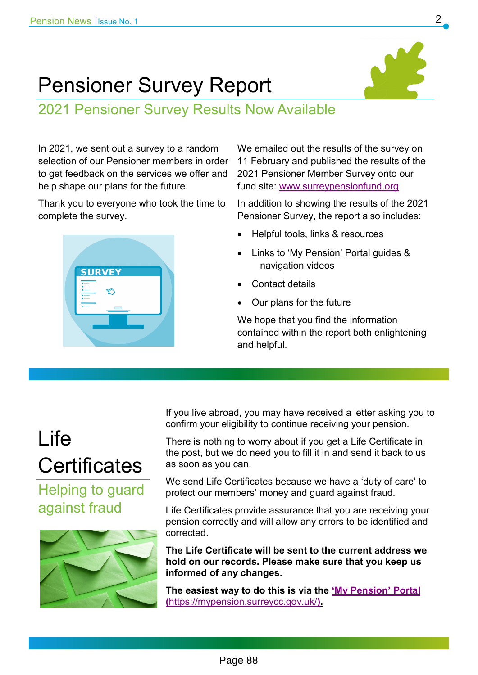## Pensioner Survey Report

2021 Pensioner Survey Results Now Available

In 2021, we sent out a survey to a random selection of our Pensioner members in order to get feedback on the services we offer and help shape our plans for the future.

Thank you to everyone who took the time to complete the survey.



We emailed out the results of the survey on 11 February and published the results of the 2021 Pensioner Member Survey onto our fund site: [www.surreypensionfund.org](https://www.surreypensionfund.org/forms-and-publications/)

In addition to showing the results of the 2021 Pensioner Survey, the report also includes:

- Helpful tools, links & resources
- Links to 'My Pension' Portal guides & navigation videos
- Contact details
- Our plans for the future

We hope that you find the information contained within the report both enlightening and helpful.

# Life **Certificates**

Helping to guard against fraud



If you live abroad, you may have received a letter asking you to confirm your eligibility to continue receiving your pension.

There is nothing to worry about if you get a Life Certificate in the post, but we do need you to fill it in and send it back to us as soon as you can.

We send Life Certificates because we have a 'duty of care' to protect our members' money and guard against fraud.

Life Certificates provide assurance that you are receiving your pension correctly and will allow any errors to be identified and corrected.

**The Life Certificate will be sent to the current address we hold on our records. Please make sure that you keep us informed of any changes.** 

**The easiest way to do this is via the '[My Pension](https://mypension.surreycc.gov.uk/)' Portal (**<https://mypension.surreycc.gov.uk/>**).**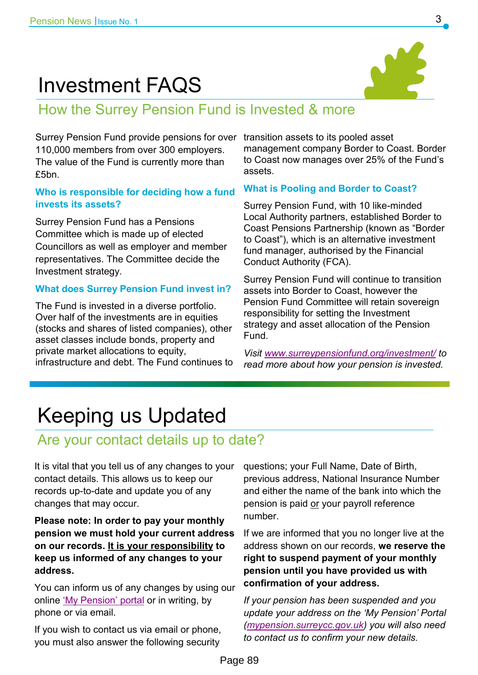## Investment FAQS



## How the Surrey Pension Fund is Invested & more

Surrey Pension Fund provide pensions for over transition assets to its pooled asset 110,000 members from over 300 employers. The value of the Fund is currently more than £5bn.

### **Who is responsible for deciding how a fund invests its assets?**

Surrey Pension Fund has a Pensions Committee which is made up of elected Councillors as well as employer and member representatives. The Committee decide the Investment strategy.

### **What does Surrey Pension Fund invest in?**

The Fund is invested in a diverse portfolio. Over half of the investments are in equities (stocks and shares of listed companies), other asset classes include bonds, property and private market allocations to equity, infrastructure and debt. The Fund continues to management company Border to Coast. Border to Coast now manages over 25% of the Fund's assets.

#### **What is Pooling and Border to Coast?**

Surrey Pension Fund, with 10 like-minded Local Authority partners, established Border to Coast Pensions Partnership (known as "Border to Coast"), which is an alternative investment fund manager, authorised by the Financial Conduct Authority (FCA).

Surrey Pension Fund will continue to transition assets into Border to Coast, however the Pension Fund Committee will retain sovereign responsibility for setting the Investment strategy and asset allocation of the Pension Fund.

*Visit [www.surreypensionfund.org/investment/](http://www.surreypensionfund.org/investment/) to read more about how your pension is invested.*

# Keeping us Updated

## Are your contact details up to date?

It is vital that you tell us of any changes to your contact details. This allows us to keep our records up-to-date and update you of any changes that may occur.

### **Please note: In order to pay your monthly pension we must hold your current address on our records. It is your responsibility to keep us informed of any changes to your address.**

You can inform us of any changes by using our online '[My Pension](https://mypension.surreycc.gov.uk/)' portal or in writing, by phone or via email.

If you wish to contact us via email or phone, you must also answer the following security questions; your Full Name, Date of Birth, previous address, National Insurance Number and either the name of the bank into which the pension is paid or your payroll reference number.

If we are informed that you no longer live at the address shown on our records, **we reserve the right to suspend payment of your monthly pension until you have provided us with confirmation of your address.** 

*If your pension has been suspended and you update your address on the 'My Pension' Portal ([mypension.surreycc.gov.uk\)](https://mypension.surreycc.gov.uk/) you will also need to contact us to confirm your new details.*